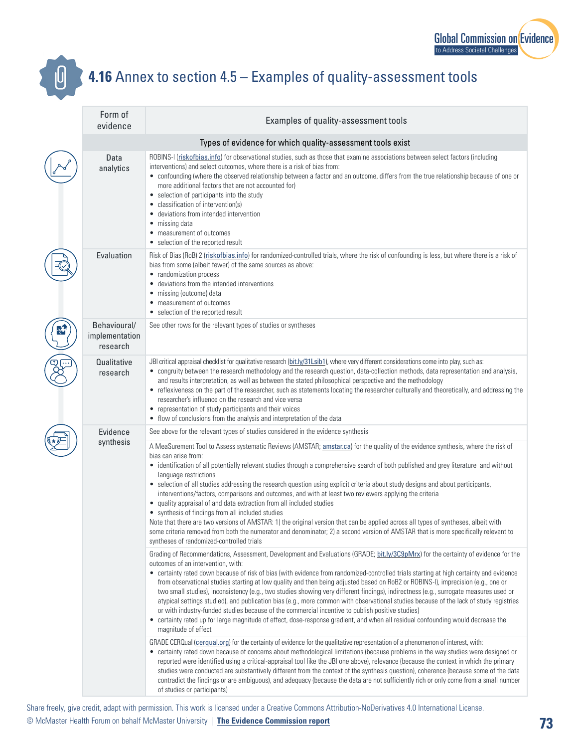

## **4.16** Annex to section 4.5 – Examples of quality-assessment tools

|  | Form of<br>evidence                        | Examples of quality-assessment tools                                                                                                                                                                                                                                                                                                                                                                                                                                                                                                                                                                                                                                                                                                                                                                                                                                                                                                                                                                                          |
|--|--------------------------------------------|-------------------------------------------------------------------------------------------------------------------------------------------------------------------------------------------------------------------------------------------------------------------------------------------------------------------------------------------------------------------------------------------------------------------------------------------------------------------------------------------------------------------------------------------------------------------------------------------------------------------------------------------------------------------------------------------------------------------------------------------------------------------------------------------------------------------------------------------------------------------------------------------------------------------------------------------------------------------------------------------------------------------------------|
|  |                                            | Types of evidence for which quality-assessment tools exist                                                                                                                                                                                                                                                                                                                                                                                                                                                                                                                                                                                                                                                                                                                                                                                                                                                                                                                                                                    |
|  | Data<br>analytics                          | ROBINS-I (riskofbias.info) for observational studies, such as those that examine associations between select factors (including<br>interventions) and select outcomes, where there is a risk of bias from:<br>• confounding (where the observed relationship between a factor and an outcome, differs from the true relationship because of one or<br>more additional factors that are not accounted for)<br>• selection of participants into the study<br>classification of intervention(s)<br>• deviations from intended intervention<br>• missing data<br>• measurement of outcomes<br>• selection of the reported result                                                                                                                                                                                                                                                                                                                                                                                                  |
|  | Evaluation                                 | Risk of Bias (RoB) 2 (riskofbias.info) for randomized-controlled trials, where the risk of confounding is less, but where there is a risk of<br>bias from some (albeit fewer) of the same sources as above:<br>• randomization process<br>deviations from the intended interventions<br>• missing (outcome) data<br>• measurement of outcomes<br>• selection of the reported result                                                                                                                                                                                                                                                                                                                                                                                                                                                                                                                                                                                                                                           |
|  | Behavioural/<br>implementation<br>research | See other rows for the relevant types of studies or syntheses                                                                                                                                                                                                                                                                                                                                                                                                                                                                                                                                                                                                                                                                                                                                                                                                                                                                                                                                                                 |
|  | Qualitative<br>research                    | JBI critical appraisal checklist for qualitative research (bit.ly/31Lsib1), where very different considerations come into play, such as:<br>• congruity between the research methodology and the research question, data-collection methods, data representation and analysis,<br>and results interpretation, as well as between the stated philosophical perspective and the methodology<br>• reflexiveness on the part of the researcher, such as statements locating the researcher culturally and theoretically, and addressing the<br>researcher's influence on the research and vice versa<br>• representation of study participants and their voices<br>• flow of conclusions from the analysis and interpretation of the data                                                                                                                                                                                                                                                                                         |
|  | Evidence<br>synthesis                      | See above for the relevant types of studies considered in the evidence synthesis                                                                                                                                                                                                                                                                                                                                                                                                                                                                                                                                                                                                                                                                                                                                                                                                                                                                                                                                              |
|  |                                            | A MeaSurement Tool to Assess systematic Reviews (AMSTAR; amstar.ca) for the quality of the evidence synthesis, where the risk of<br>bias can arise from:<br>• identification of all potentially relevant studies through a comprehensive search of both published and grey literature and without<br>language restrictions<br>• selection of all studies addressing the research question using explicit criteria about study designs and about participants,<br>interventions/factors, comparisons and outcomes, and with at least two reviewers applying the criteria<br>• quality appraisal of and data extraction from all included studies<br>• synthesis of findings from all included studies<br>Note that there are two versions of AMSTAR: 1) the original version that can be applied across all types of syntheses, albeit with<br>some criteria removed from both the numerator and denominator; 2) a second version of AMSTAR that is more specifically relevant to<br>syntheses of randomized-controlled trials |
|  |                                            | Grading of Recommendations, Assessment, Development and Evaluations (GRADE; bit.ly/3C9pMrx) for the certainty of evidence for the<br>outcomes of an intervention, with:<br>• certainty rated down because of risk of bias (with evidence from randomized-controlled trials starting at high certainty and evidence<br>from observational studies starting at low quality and then being adjusted based on RoB2 or ROBINS-I), imprecision (e.g., one or<br>two small studies), inconsistency (e.g., two studies showing very different findings), indirectness (e.g., surrogate measures used or<br>atypical settings studied), and publication bias (e.g., more common with observational studies because of the lack of study registries<br>or with industry-funded studies because of the commercial incentive to publish positive studies)<br>• certainty rated up for large magnitude of effect, dose-response gradient, and when all residual confounding would decrease the<br>magnitude of effect                      |
|  |                                            | GRADE CERQual (cerqual.org) for the certainty of evidence for the qualitative representation of a phenomenon of interest, with:<br>• certainty rated down because of concerns about methodological limitations (because problems in the way studies were designed or<br>reported were identified using a critical-appraisal tool like the JBI one above), relevance (because the context in which the primary<br>studies were conducted are substantively different from the context of the synthesis question), coherence (because some of the data<br>contradict the findings or are ambiguous), and adequacy (because the data are not sufficiently rich or only come from a small number<br>of studies or participants)                                                                                                                                                                                                                                                                                                   |

Share freely, give credit, adapt with permission. This work is licensed under a Creative Commons Attribution-NoDerivatives 4.0 International License. © McMaster Health Forum on behalf McMaster University | **[The Evidence Commission report](https://www.mcmasterforum.org/networks/evidence-commission/report/english)**